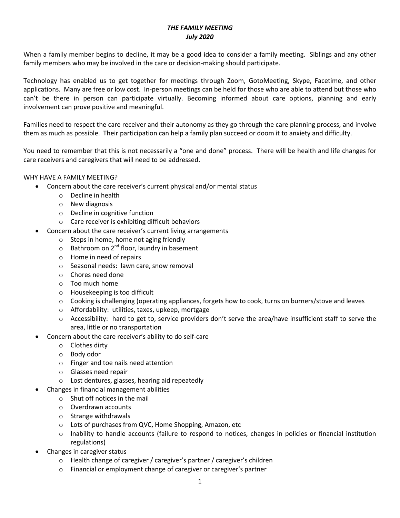## *THE FAMILY MEETING July 2020*

When a family member begins to decline, it may be a good idea to consider a family meeting. Siblings and any other family members who may be involved in the care or decision-making should participate.

Technology has enabled us to get together for meetings through Zoom, GotoMeeting, Skype, Facetime, and other applications. Many are free or low cost. In-person meetings can be held for those who are able to attend but those who can't be there in person can participate virtually. Becoming informed about care options, planning and early involvement can prove positive and meaningful.

Families need to respect the care receiver and their autonomy as they go through the care planning process, and involve them as much as possible. Their participation can help a family plan succeed or doom it to anxiety and difficulty.

You need to remember that this is not necessarily a "one and done" process. There will be health and life changes for care receivers and caregivers that will need to be addressed.

### WHY HAVE A FAMILY MEETING?

- Concern about the care receiver's current physical and/or mental status
	- o Decline in health
	- o New diagnosis
	- o Decline in cognitive function
	- o Care receiver is exhibiting difficult behaviors
- Concern about the care receiver's current living arrangements
	- o Steps in home, home not aging friendly
	- $\circ$  Bathroom on 2<sup>nd</sup> floor, laundry in basement
	- o Home in need of repairs
	- o Seasonal needs: lawn care, snow removal
	- o Chores need done
	- o Too much home
	- o Housekeeping is too difficult
	- $\circ$  Cooking is challenging (operating appliances, forgets how to cook, turns on burners/stove and leaves
	- o Affordability: utilities, taxes, upkeep, mortgage
	- o Accessibility: hard to get to, service providers don't serve the area/have insufficient staff to serve the area, little or no transportation
- Concern about the care receiver's ability to do self-care
	- o Clothes dirty
	- o Body odor
	- o Finger and toe nails need attention
	- o Glasses need repair
	- o Lost dentures, glasses, hearing aid repeatedly
- Changes in financial management abilities
	- o Shut off notices in the mail
	- o Overdrawn accounts
	- o Strange withdrawals
	- o Lots of purchases from QVC, Home Shopping, Amazon, etc
	- o Inability to handle accounts (failure to respond to notices, changes in policies or financial institution regulations)
- Changes in caregiver status
	- o Health change of caregiver / caregiver's partner / caregiver's children
	- o Financial or employment change of caregiver or caregiver's partner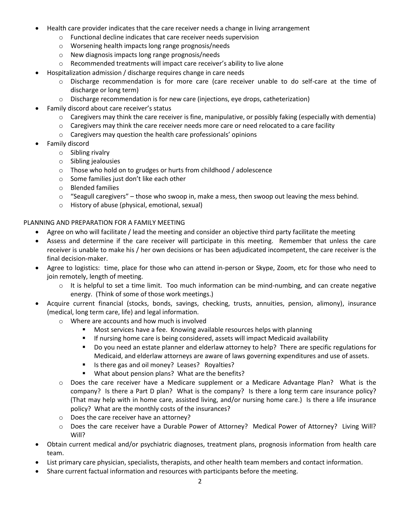- Health care provider indicates that the care receiver needs a change in living arrangement
	- o Functional decline indicates that care receiver needs supervision
	- o Worsening health impacts long range prognosis/needs
	- o New diagnosis impacts long range prognosis/needs
	- o Recommended treatments will impact care receiver's ability to live alone
- Hospitalization admission / discharge requires change in care needs
	- o Discharge recommendation is for more care (care receiver unable to do self-care at the time of discharge or long term)
	- o Discharge recommendation is for new care (injections, eye drops, catheterization)
- Family discord about care receiver's status
	- $\circ$  Caregivers may think the care receiver is fine, manipulative, or possibly faking (especially with dementia)
	- $\circ$  Caregivers may think the care receiver needs more care or need relocated to a care facility
	- o Caregivers may question the health care professionals' opinions
- Family discord
	- o Sibling rivalry
	- o Sibling jealousies
	- o Those who hold on to grudges or hurts from childhood / adolescence
	- o Some families just don't like each other
	- o Blended families
	- $\circ$  "Seagull caregivers" those who swoop in, make a mess, then swoop out leaving the mess behind.
	- o History of abuse (physical, emotional, sexual)

## PLANNING AND PREPARATION FOR A FAMILY MEETING

- Agree on who will facilitate / lead the meeting and consider an objective third party facilitate the meeting
- Assess and determine if the care receiver will participate in this meeting. Remember that unless the care receiver is unable to make his / her own decisions or has been adjudicated incompetent, the care receiver is the final decision-maker.
- Agree to logistics: time, place for those who can attend in-person or Skype, Zoom, etc for those who need to join remotely, length of meeting.
	- $\circ$  It is helpful to set a time limit. Too much information can be mind-numbing, and can create negative energy. (Think of some of those work meetings.)
- Acquire current financial (stocks, bonds, savings, checking, trusts, annuities, pension, alimony), insurance (medical, long term care, life) and legal information.
	- o Where are accounts and how much is involved
		- **Most services have a fee. Knowing available resources helps with planning**
		- If nursing home care is being considered, assets will impact Medicaid availability
		- **Do you need an estate planner and elderlaw attorney to help? There are specific regulations for** Medicaid, and elderlaw attorneys are aware of laws governing expenditures and use of assets.
		- Is there gas and oil money? Leases? Royalties?
		- **What about pension plans? What are the benefits?**
	- o Does the care receiver have a Medicare supplement or a Medicare Advantage Plan? What is the company? Is there a Part D plan? What is the company? Is there a long term care insurance policy? (That may help with in home care, assisted living, and/or nursing home care.) Is there a life insurance policy? What are the monthly costs of the insurances?
	- o Does the care receiver have an attorney?
	- o Does the care receiver have a Durable Power of Attorney? Medical Power of Attorney? Living Will? Will?
- Obtain current medical and/or psychiatric diagnoses, treatment plans, prognosis information from health care team.
- List primary care physician, specialists, therapists, and other health team members and contact information.
- Share current factual information and resources with participants before the meeting.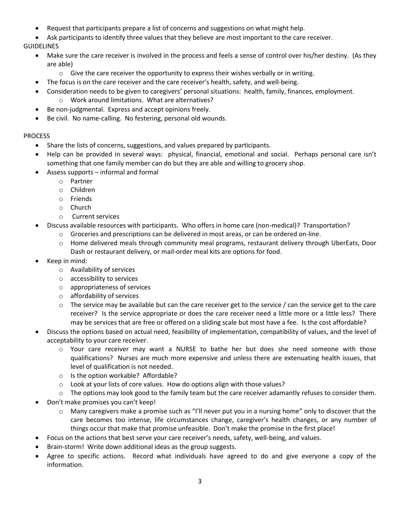- Request that participants prepare a list of concerns and suggestions on what might help.
- Ask participants to identify three values that they believe are most important to the care receiver.

GUIDELINES

- Make sure the care receiver is involved in the process and feels a sense of control over his/her destiny. (As they are able)
	- $\circ$  Give the care receiver the opportunity to express their wishes verbally or in writing.
- The focus is on the care receiver and the care receiver's health, safety, and well-being.
- Consideration needs to be given to caregivers' personal situations: health, family, finances, employment.
	- o Work around limitations. What are alternatives?
- Be non-judgmental. Express and accept opinions freely.
- Be civil. No name-calling. No festering, personal old wounds.

# **PROCESS**

- Share the lists of concerns, suggestions, and values prepared by participants.
- Help can be provided in several ways: physical, financial, emotional and social. Perhaps personal care isn't something that one family member can do but they are able and willing to grocery shop.
- Assess supports informal and formal
	- o Partner
	- o Children
	- o Friends
	- o Church
	- o Current services
- Discuss available resources with participants. Who offers in home care (non-medical)? Transportation?
	- $\circ$  Groceries and prescriptions can be delivered in most areas, or can be ordered on-line.
	- o Home delivered meals through community meal programs, restaurant delivery through UberEats, Door Dash or restaurant delivery, or mail-order meal kits are options for food.
- Keep in mind:
	- o Availability of services
	- o accessibility to services
	- o appropriateness of services
	- o affordability of services
	- $\circ$  The service may be available but can the care receiver get to the service / can the service get to the care receiver? Is the service appropriate or does the care receiver need a little more or a little less? There may be services that are free or offered on a sliding scale but most have a fee. Is the cost affordable?
- Discuss the options based on actual need, feasibility of implementation, compatibility of values, and the level of acceptability to your care receiver.
	- o Your care receiver may want a NURSE to bathe her but does she need someone with those qualifications? Nurses are much more expensive and unless there are extenuating health issues, that level of qualification is not needed.
	- o Is the option workable? Affordable?
	- o Look at your lists of core values. How do options align with those values?
	- $\circ$  The options may look good to the family team but the care receiver adamantly refuses to consider them.
- Don't make promises you can't keep!
	- o Many caregivers make a promise such as "I'll never put you in a nursing home" only to discover that the care becomes too intense, life circumstances change, caregiver's health changes, or any number of things occur that make that promise unfeasible. Don't make the promise in the first place!
- Focus on the actions that best serve your care receiver's needs, safety, well-being, and values.
- Brain-storm! Write down additional ideas as the group suggests.
- Agree to specific actions. Record what individuals have agreed to do and give everyone a copy of the information.